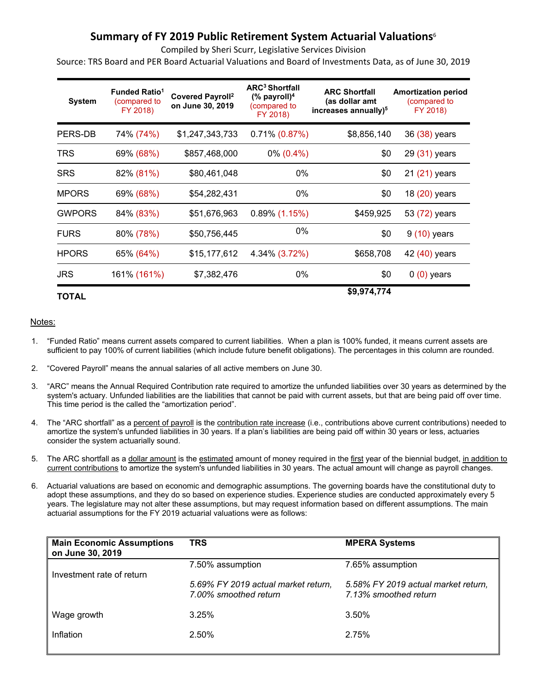# **Summary of FY 2019 Public Retirement System Actuarial Valuations**<sup>6</sup>

Compiled by Sheri Scurr, Legislative Services Division

Source: TRS Board and PER Board Actuarial Valuations and Board of Investments Data, as of June 30, 2019

| <b>System</b> | <b>Funded Ratio<sup>1</sup></b><br>(compared to<br>FY 2018) | <b>Covered Payroll<sup>2</sup></b><br>on June 30, 2019 | <b>ARC<sup>3</sup> Shortfall</b><br>$%$ payroll) <sup>4</sup><br>(compared to<br>FY 2018) | <b>ARC Shortfall</b><br>(as dollar amt<br>increases annually) <sup>5</sup> | <b>Amortization period</b><br>(compared to<br>FY 2018) |
|---------------|-------------------------------------------------------------|--------------------------------------------------------|-------------------------------------------------------------------------------------------|----------------------------------------------------------------------------|--------------------------------------------------------|
| PERS-DB       | 74% (74%)                                                   | \$1,247,343,733                                        | $0.71\% (0.87\%)$                                                                         | \$8,856,140                                                                | 36 (38) years                                          |
| TRS           | 69% (68%)                                                   | \$857,468,000                                          | $0\%$ (0.4%)                                                                              | \$0                                                                        | 29 (31) years                                          |
| <b>SRS</b>    | 82% (81%)                                                   | \$80,461,048                                           | $0\%$                                                                                     | \$0                                                                        | 21 (21) years                                          |
| <b>MPORS</b>  | 69% (68%)                                                   | \$54,282,431                                           | 0%                                                                                        | \$0                                                                        | 18 (20) years                                          |
| <b>GWPORS</b> | 84% (83%)                                                   | \$51,676,963                                           | $0.89\%$ (1.15%)                                                                          | \$459,925                                                                  | 53 (72) years                                          |
| <b>FURS</b>   | 80% (78%)                                                   | \$50,756,445                                           | 0%                                                                                        | \$0                                                                        | $9(10)$ years                                          |
| <b>HPORS</b>  | 65% (64%)                                                   | \$15,177,612                                           | 4.34% (3.72%)                                                                             | \$658,708                                                                  | 42 (40) years                                          |
| <b>JRS</b>    | 161% (161%)                                                 | \$7,382,476                                            | $0\%$                                                                                     | \$0                                                                        | $0(0)$ years                                           |
| TOTAL         |                                                             |                                                        |                                                                                           | \$9,974,774                                                                |                                                        |

#### Notes:

- 1. "Funded Ratio" means current assets compared to current liabilities. When a plan is 100% funded, it means current assets are sufficient to pay 100% of current liabilities (which include future benefit obligations). The percentages in this column are rounded.
- 2. "Covered Payroll" means the annual salaries of all active members on June 30.
- 3. "ARC" means the Annual Required Contribution rate required to amortize the unfunded liabilities over 30 years as determined by the system's actuary. Unfunded liabilities are the liabilities that cannot be paid with current assets, but that are being paid off over time. This time period is the called the "amortization period".
- 4. The "ARC shortfall" as a percent of payroll is the contribution rate increase (i.e., contributions above current contributions) needed to amortize the system's unfunded liabilities in 30 years. If a plan's liabilities are being paid off within 30 years or less, actuaries consider the system actuarially sound.
- 5. The ARC shortfall as a dollar amount is the estimated amount of money required in the first year of the biennial budget, in addition to current contributions to amortize the system's unfunded liabilities in 30 years. The actual amount will change as payroll changes.
- 6. Actuarial valuations are based on economic and demographic assumptions. The governing boards have the constitutional duty to adopt these assumptions, and they do so based on experience studies. Experience studies are conducted approximately every 5 years. The legislature may not alter these assumptions, but may request information based on different assumptions. The main actuarial assumptions for the FY 2019 actuarial valuations were as follows:

| <b>Main Economic Assumptions</b><br>on June 30, 2019 | <b>TRS</b>                                                   | <b>MPERA Systems</b>                                         |
|------------------------------------------------------|--------------------------------------------------------------|--------------------------------------------------------------|
| Investment rate of return                            | 7.50% assumption                                             | 7.65% assumption                                             |
|                                                      | 5.69% FY 2019 actual market return,<br>7.00% smoothed return | 5.58% FY 2019 actual market return,<br>7.13% smoothed return |
| Wage growth                                          | 3.25%                                                        | 3.50%                                                        |
| Inflation                                            | 2.50%                                                        | 2.75%                                                        |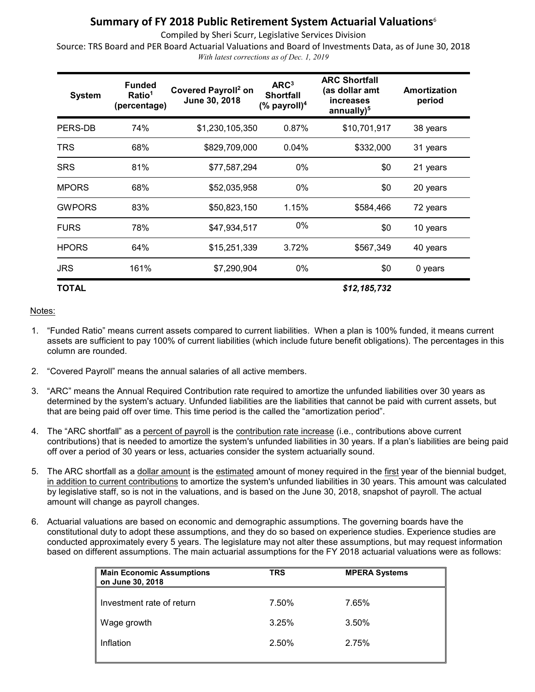## **Summary of FY 2018 Public Retirement System Actuarial Valuations**<sup>6</sup>

Compiled by Sheri Scurr, Legislative Services Division

Source: TRS Board and PER Board Actuarial Valuations and Board of Investments Data, as of June 30, 2018 *With latest corrections as of Dec. 1, 2019*

| <b>System</b> | <b>Funded</b><br>Ratio <sup>1</sup><br>(percentage) | Covered Payroll <sup>2</sup> on<br>June 30, 2018 | ARC <sup>3</sup><br><b>Shortfall</b><br>$%$ payroll) <sup>4</sup> | <b>ARC Shortfall</b><br>(as dollar amt<br><i>increases</i><br>annually $)^5$ | Amortization<br>period |
|---------------|-----------------------------------------------------|--------------------------------------------------|-------------------------------------------------------------------|------------------------------------------------------------------------------|------------------------|
| PERS-DB       | 74%                                                 | \$1,230,105,350                                  | 0.87%                                                             | \$10,701,917                                                                 | 38 years               |
| <b>TRS</b>    | 68%                                                 | \$829,709,000                                    | $0.04\%$                                                          | \$332,000                                                                    | 31 years               |
| <b>SRS</b>    | 81%                                                 | \$77,587,294                                     | 0%                                                                | \$0                                                                          | 21 years               |
| <b>MPORS</b>  | 68%                                                 | \$52,035,958                                     | 0%                                                                | \$0                                                                          | 20 years               |
| <b>GWPORS</b> | 83%                                                 | \$50,823,150                                     | 1.15%                                                             | \$584,466                                                                    | 72 years               |
| <b>FURS</b>   | 78%                                                 | \$47,934,517                                     | $0\%$                                                             | \$0                                                                          | 10 years               |
| <b>HPORS</b>  | 64%                                                 | \$15,251,339                                     | 3.72%                                                             | \$567,349                                                                    | 40 years               |
| <b>JRS</b>    | 161%                                                | \$7,290,904                                      | 0%                                                                | \$0                                                                          | 0 years                |
| <b>TOTAL</b>  |                                                     |                                                  |                                                                   | \$12,185,732                                                                 |                        |

#### Notes:

- 1. "Funded Ratio" means current assets compared to current liabilities. When a plan is 100% funded, it means current assets are sufficient to pay 100% of current liabilities (which include future benefit obligations). The percentages in this column are rounded.
- 2. "Covered Payroll" means the annual salaries of all active members.
- 3. "ARC" means the Annual Required Contribution rate required to amortize the unfunded liabilities over 30 years as determined by the system's actuary. Unfunded liabilities are the liabilities that cannot be paid with current assets, but that are being paid off over time. This time period is the called the "amortization period".
- 4. The "ARC shortfall" as a percent of payroll is the contribution rate increase (i.e., contributions above current contributions) that is needed to amortize the system's unfunded liabilities in 30 years. If a plan's liabilities are being paid off over a period of 30 years or less, actuaries consider the system actuarially sound.
- 5. The ARC shortfall as a dollar amount is the estimated amount of money required in the first year of the biennial budget, in addition to current contributions to amortize the system's unfunded liabilities in 30 years. This amount was calculated by legislative staff, so is not in the valuations, and is based on the June 30, 2018, snapshot of payroll. The actual amount will change as payroll changes.
- 6. Actuarial valuations are based on economic and demographic assumptions. The governing boards have the constitutional duty to adopt these assumptions, and they do so based on experience studies. Experience studies are conducted approximately every 5 years. The legislature may not alter these assumptions, but may request information based on different assumptions. The main actuarial assumptions for the FY 2018 actuarial valuations were as follows:

|       | <b>MPERA Systems</b> |
|-------|----------------------|
| 7.50% | 7.65%                |
| 3.25% | 3.50%                |
| 2.50% | 2.75%                |
|       |                      |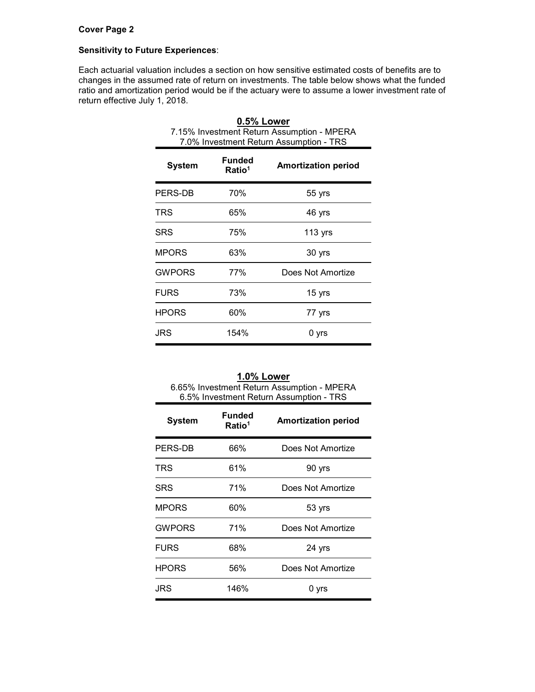## **Cover Page 2**

#### **Sensitivity to Future Experiences**:

Each actuarial valuation includes a section on how sensitive estimated costs of benefits are to changes in the assumed rate of return on investments. The table below shows what the funded ratio and amortization period would be if the actuary were to assume a lower investment rate of return effective July 1, 2018.

| 7.15% Investment Return Assumption - MPERA<br>7.0% Investment Return Assumption - TRS |                                     |                            |  |  |  |  |
|---------------------------------------------------------------------------------------|-------------------------------------|----------------------------|--|--|--|--|
| System                                                                                | <b>Funded</b><br>Ratio <sup>1</sup> | <b>Amortization period</b> |  |  |  |  |
| PERS-DB                                                                               | 70%                                 | 55 yrs                     |  |  |  |  |
| TRS                                                                                   | 65%                                 | 46 yrs                     |  |  |  |  |
| <b>SRS</b>                                                                            | 75%                                 | 113 $yrs$                  |  |  |  |  |
| <b>MPORS</b>                                                                          | 63%                                 | 30 yrs                     |  |  |  |  |
| <b>GWPORS</b>                                                                         | 77%                                 | Does Not Amortize          |  |  |  |  |
| <b>FURS</b>                                                                           | 73%                                 | 15 yrs                     |  |  |  |  |
| HPORS                                                                                 | 60%                                 | 77 yrs                     |  |  |  |  |
| JRS                                                                                   | 154%                                | 0 yrs                      |  |  |  |  |

| 0.5% Lower                                 |
|--------------------------------------------|
| 7.15% Investment Return Assumption - MPERA |
| 7.0% Investment Return Assumption - TRS    |
|                                            |

| 1.0% Lower                                 |
|--------------------------------------------|
| 6.65% Investment Return Assumption - MPERA |
| 6.5% Investment Return Assumption - TRS    |

| <b>System</b> | <b>Funded</b><br>Ratio <sup>1</sup> | <b>Amortization period</b> |
|---------------|-------------------------------------|----------------------------|
| PERS-DB       | 66%                                 | Does Not Amortize          |
| TRS           | 61%                                 | 90 yrs                     |
| SRS           | 71%                                 | Does Not Amortize          |
| <b>MPORS</b>  | 60%                                 | 53 yrs                     |
| <b>GWPORS</b> | 71%                                 | Does Not Amortize          |
| <b>FURS</b>   | 68%                                 | 24 yrs                     |
| <b>HPORS</b>  | 56%                                 | Does Not Amortize          |
| JRS           | 146%                                | 0 yrs                      |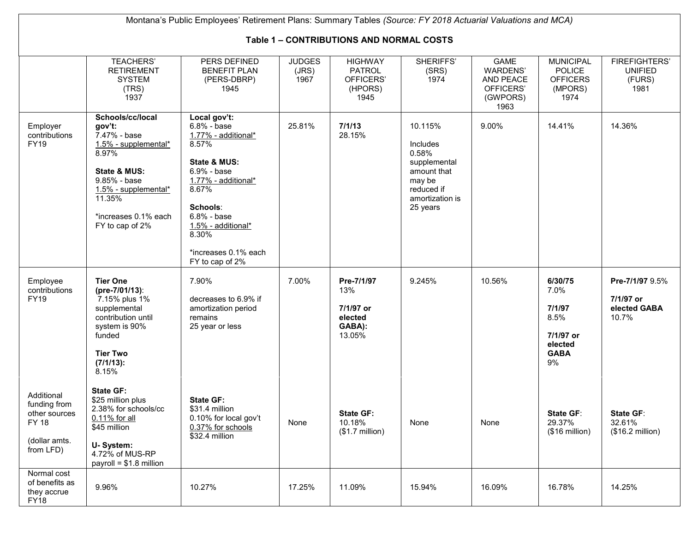| Montana's Public Employees' Retirement Plans: Summary Tables (Source: FY 2018 Actuarial Valuations and MCA) |                                                                                                                                                                                             |                                                                                                                                                                                                                                          |                                |                                                                 |                                                                                                                    |                                                                              |                                                                                |                                                          |  |
|-------------------------------------------------------------------------------------------------------------|---------------------------------------------------------------------------------------------------------------------------------------------------------------------------------------------|------------------------------------------------------------------------------------------------------------------------------------------------------------------------------------------------------------------------------------------|--------------------------------|-----------------------------------------------------------------|--------------------------------------------------------------------------------------------------------------------|------------------------------------------------------------------------------|--------------------------------------------------------------------------------|----------------------------------------------------------|--|
| <b>Table 1 - CONTRIBUTIONS AND NORMAL COSTS</b>                                                             |                                                                                                                                                                                             |                                                                                                                                                                                                                                          |                                |                                                                 |                                                                                                                    |                                                                              |                                                                                |                                                          |  |
|                                                                                                             | <b>TEACHERS'</b><br><b>RETIREMENT</b><br><b>SYSTEM</b><br>(TRS)<br>1937                                                                                                                     | PERS DEFINED<br><b>BENEFIT PLAN</b><br>(PERS-DBRP)<br>1945                                                                                                                                                                               | <b>JUDGES</b><br>(JRS)<br>1967 | <b>HIGHWAY</b><br><b>PATROL</b><br>OFFICERS'<br>(HPORS)<br>1945 | SHERIFFS'<br>(SRS)<br>1974                                                                                         | <b>GAME</b><br><b>WARDENS'</b><br>AND PEACE<br>OFFICERS'<br>(GWPORS)<br>1963 | <b>MUNICIPAL</b><br><b>POLICE</b><br><b>OFFICERS</b><br>(MPORS)<br>1974        | <b>FIREFIGHTERS'</b><br><b>UNIFIED</b><br>(FURS)<br>1981 |  |
| Employer<br>contributions<br><b>FY19</b>                                                                    | Schools/cc/local<br>gov't:<br>7.47% - base<br>1.5% - supplemental*<br>8.97%<br>State & MUS:<br>9.85% - base<br>$1.5\%$ - supplemental*<br>11.35%<br>*increases 0.1% each<br>FY to cap of 2% | Local gov't:<br>$6.8\%$ - base<br>1.77% - additional*<br>8.57%<br>State & MUS:<br>6.9% - base<br>1.77% - additional*<br>8.67%<br>Schools:<br>$6.8\%$ - base<br>1.5% - additional*<br>$8.30\%$<br>*increases 0.1% each<br>FY to cap of 2% | 25.81%                         | 7/1/13<br>28.15%                                                | 10.115%<br>Includes<br>0.58%<br>supplemental<br>amount that<br>may be<br>reduced if<br>amortization is<br>25 years | 9.00%                                                                        | 14.41%                                                                         | 14.36%                                                   |  |
| Employee<br>contributions<br><b>FY19</b>                                                                    | <b>Tier One</b><br>(pre-7/01/13):<br>7.15% plus 1%<br>supplemental<br>contribution until<br>system is 90%<br>funded<br><b>Tier Two</b><br>$(7/1/13)$ :<br>8.15%                             | 7.90%<br>decreases to 6.9% if<br>amortization period<br>remains<br>25 year or less                                                                                                                                                       | 7.00%                          | Pre-7/1/97<br>13%<br>7/1/97 or<br>elected<br>GABA):<br>13.05%   | 9.245%                                                                                                             | 10.56%                                                                       | 6/30/75<br>7.0%<br>7/1/97<br>8.5%<br>7/1/97 or<br>elected<br><b>GABA</b><br>9% | Pre-7/1/97 9.5%<br>7/1/97 or<br>elected GABA<br>10.7%    |  |
| Additional<br>funding from<br>other sources<br><b>FY 18</b><br>(dollar amts.<br>from LFD)                   | <b>State GF:</b><br>\$25 million plus<br>2.38% for schools/cc<br>0.11% for all<br>\$45 million<br>U-System:<br>4.72% of MUS-RP<br>payroll = $$1.8$ million                                  | <b>State GF:</b><br>\$31.4 million<br>0.10% for local gov't<br>0.37% for schools<br>\$32.4 million                                                                                                                                       | None                           | <b>State GF:</b><br>10.18%<br>$($1.7$ million)                  | None                                                                                                               | None                                                                         | <b>State GF:</b><br>29.37%<br>$($16 \text{ million})$                          | State GF:<br>32.61%<br>(\$16.2 million)                  |  |
| Normal cost<br>of benefits as<br>they accrue<br><b>FY18</b>                                                 | 9.96%                                                                                                                                                                                       | 10.27%                                                                                                                                                                                                                                   | 17.25%                         | 11.09%                                                          | 15.94%                                                                                                             | 16.09%                                                                       | 16.78%                                                                         | 14.25%                                                   |  |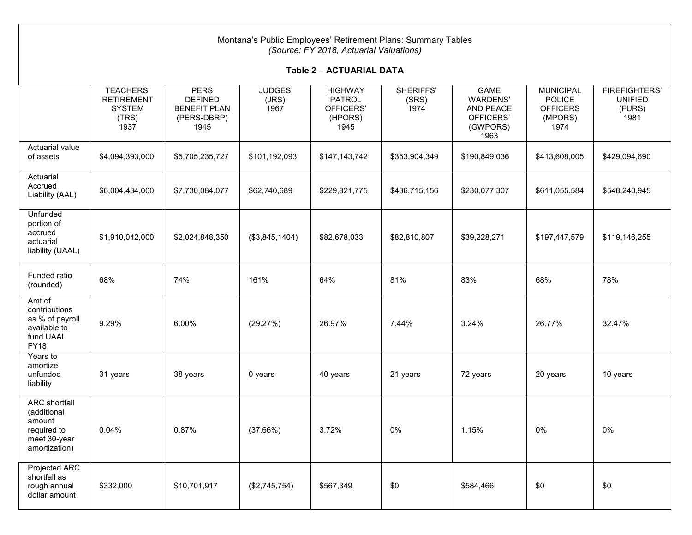| Montana's Public Employees' Retirement Plans: Summary Tables<br>(Source: FY 2018, Actuarial Valuations) |                                                                         |                                                                             |                                |                                                                 |                            |                                                                              |                                                                         |                                                          |  |  |  |
|---------------------------------------------------------------------------------------------------------|-------------------------------------------------------------------------|-----------------------------------------------------------------------------|--------------------------------|-----------------------------------------------------------------|----------------------------|------------------------------------------------------------------------------|-------------------------------------------------------------------------|----------------------------------------------------------|--|--|--|
|                                                                                                         | Table 2 - ACTUARIAL DATA                                                |                                                                             |                                |                                                                 |                            |                                                                              |                                                                         |                                                          |  |  |  |
|                                                                                                         | <b>TEACHERS'</b><br><b>RETIREMENT</b><br><b>SYSTEM</b><br>(TRS)<br>1937 | <b>PERS</b><br><b>DEFINED</b><br><b>BENEFIT PLAN</b><br>(PERS-DBRP)<br>1945 | <b>JUDGES</b><br>(JRS)<br>1967 | <b>HIGHWAY</b><br><b>PATROL</b><br>OFFICERS'<br>(HPORS)<br>1945 | SHERIFFS'<br>(SRS)<br>1974 | <b>GAME</b><br><b>WARDENS'</b><br>AND PEACE<br>OFFICERS'<br>(GWPORS)<br>1963 | <b>MUNICIPAL</b><br><b>POLICE</b><br><b>OFFICERS</b><br>(MPORS)<br>1974 | <b>FIREFIGHTERS'</b><br><b>UNIFIED</b><br>(FURS)<br>1981 |  |  |  |
| Actuarial value<br>of assets                                                                            | \$4,094,393,000                                                         | \$5,705,235,727                                                             | \$101,192,093                  | \$147,143,742                                                   | \$353,904,349              | \$190,849,036                                                                | \$413,608,005                                                           | \$429,094,690                                            |  |  |  |
| Actuarial<br>Accrued<br>Liability (AAL)                                                                 | \$6,004,434,000                                                         | \$7,730,084,077                                                             | \$62,740,689                   | \$229,821,775                                                   | \$436,715,156              | \$230,077,307                                                                | \$611,055,584                                                           | \$548,240,945                                            |  |  |  |
| Unfunded<br>portion of<br>accrued<br>actuarial<br>liability (UAAL)                                      | \$1,910,042,000                                                         | \$2,024,848,350                                                             | (\$3,845,1404)                 | \$82,678,033                                                    | \$82,810,807               | \$39,228,271                                                                 | \$197,447,579                                                           | \$119,146,255                                            |  |  |  |
| Funded ratio<br>(rounded)                                                                               | 68%                                                                     | 74%                                                                         | 161%                           | 64%                                                             | 81%                        | 83%                                                                          | 68%                                                                     | 78%                                                      |  |  |  |
| Amt of<br>contributions<br>as % of payroll<br>available to<br>fund UAAL<br><b>FY18</b>                  | 9.29%                                                                   | 6.00%                                                                       | (29.27%)                       | 26.97%                                                          | 7.44%                      | 3.24%                                                                        | 26.77%                                                                  | 32.47%                                                   |  |  |  |
| Years to<br>amortize<br>unfunded<br>liability                                                           | 31 years                                                                | 38 years                                                                    | 0 years                        | 40 years                                                        | 21 years                   | 72 years                                                                     | 20 years                                                                | 10 years                                                 |  |  |  |
| <b>ARC</b> shortfall<br>(additional<br>amount<br>required to<br>meet 30-year<br>amortization)           | 0.04%                                                                   | 0.87%                                                                       | (37.66%)                       | 3.72%                                                           | $0\%$                      | 1.15%                                                                        | $0\%$                                                                   | $0\%$                                                    |  |  |  |
| Projected ARC<br>shortfall as<br>rough annual<br>dollar amount                                          | \$332,000                                                               | \$10,701,917                                                                | (\$2,745,754)                  | \$567,349                                                       | \$0                        | \$584,466                                                                    | \$0                                                                     | \$0                                                      |  |  |  |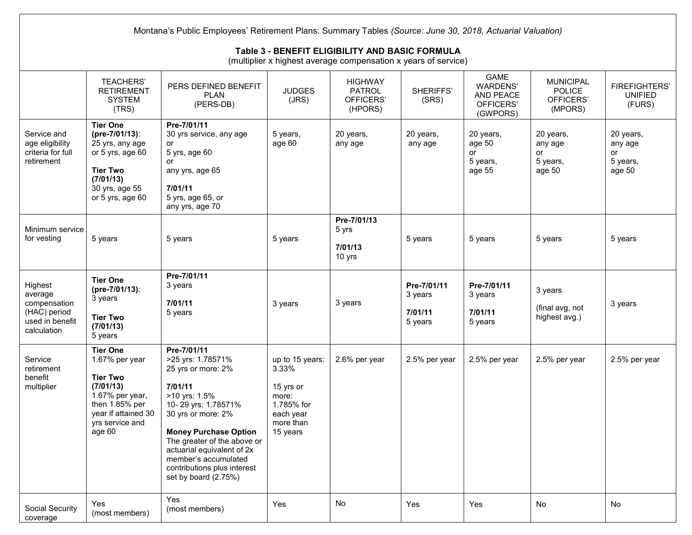|                                                                                      | Montana's Public Employees' Retirement Plans: Summary Tables (Source: June 30, 2018, Actuarial Valuation)<br>Table 3 - BENEFIT ELIGIBILITY AND BASIC FORMULA<br>(multiplier x highest average compensation x years of service) |                                                                                                                                                                                                                                                                                                             |                                                                                                    |                                                         |                                              |                                                                      |                                                           |                                                  |  |
|--------------------------------------------------------------------------------------|--------------------------------------------------------------------------------------------------------------------------------------------------------------------------------------------------------------------------------|-------------------------------------------------------------------------------------------------------------------------------------------------------------------------------------------------------------------------------------------------------------------------------------------------------------|----------------------------------------------------------------------------------------------------|---------------------------------------------------------|----------------------------------------------|----------------------------------------------------------------------|-----------------------------------------------------------|--------------------------------------------------|--|
|                                                                                      | <b>TEACHERS'</b><br><b>RETIREMENT</b><br><b>SYSTEM</b><br>(TRS)                                                                                                                                                                | PERS DEFINED BENEFIT<br><b>PLAN</b><br>(PERS-DB)                                                                                                                                                                                                                                                            | <b>JUDGES</b><br>(JRS)                                                                             | <b>HIGHWAY</b><br><b>PATROL</b><br>OFFICERS'<br>(HPORS) | SHERIFFS'<br>(SRS)                           | <b>GAME</b><br><b>WARDENS'</b><br>AND PEACE<br>OFFICERS'<br>(GWPORS) | <b>MUNICIPAL</b><br><b>POLICE</b><br>OFFICERS'<br>(MPORS) | <b>FIREFIGHTERS'</b><br><b>UNIFIED</b><br>(FURS) |  |
| Service and<br>age eligibility<br>criteria for full<br>retirement                    | <b>Tier One</b><br>(pre-7/01/13):<br>25 yrs, any age<br>or 5 yrs, age 60<br><b>Tier Two</b><br>(7/01/13)<br>30 yrs, age 55<br>or 5 yrs, age 60                                                                                 | Pre-7/01/11<br>30 yrs service, any age<br>or<br>5 yrs, age 60<br>or<br>any yrs, age 65<br>7/01/11<br>5 yrs, age 65, or<br>any yrs, age 70                                                                                                                                                                   | 5 years,<br>age 60                                                                                 | 20 years,<br>any age                                    | 20 years,<br>any age                         | 20 years,<br>age 50<br>or<br>5 years,<br>age 55                      | 20 years,<br>any age<br>or<br>5 years,<br>age 50          | 20 years,<br>any age<br>or<br>5 years,<br>age 50 |  |
| Minimum service<br>for vesting                                                       | 5 years                                                                                                                                                                                                                        | 5 years                                                                                                                                                                                                                                                                                                     | 5 years                                                                                            | Pre-7/01/13<br>5 yrs<br>7/01/13<br>10 yrs               | 5 years                                      | 5 years                                                              | 5 years                                                   | 5 years                                          |  |
| Highest<br>average<br>compensation<br>(HAC) period<br>used in benefit<br>calculation | <b>Tier One</b><br>(pre-7/01/13):<br>3 years<br><b>Tier Two</b><br>(7/01/13)<br>5 years                                                                                                                                        | Pre-7/01/11<br>3 years<br>7/01/11<br>5 years                                                                                                                                                                                                                                                                | 3 years                                                                                            | 3 years                                                 | Pre-7/01/11<br>3 years<br>7/01/11<br>5 years | Pre-7/01/11<br>3 years<br>7/01/11<br>5 years                         | 3 years<br>(final avg, not<br>highest avg.)               | 3 years                                          |  |
| Service<br>retirement<br>benefit<br>multiplier                                       | <b>Tier One</b><br>1.67% per year<br><b>Tier Two</b><br>(7/01/13)<br>1.67% per year,<br>then 1.85% per<br>year if attained 30<br>yrs service and<br>age 60                                                                     | Pre-7/01/11<br>>25 yrs: 1.78571%<br>25 yrs or more: 2%<br>7/01/11<br>>10 yrs: 1.5%<br>10-29 yrs: 1.78571%<br>30 yrs or more: 2%<br><b>Money Purchase Option</b><br>The greater of the above or<br>actuarial equivalent of 2x<br>member's accumulated<br>contributions plus interest<br>set by board (2.75%) | up to 15 years:<br>3.33%<br>15 yrs or<br>more:<br>1.785% for<br>each year<br>more than<br>15 years | 2.6% per year                                           | 2.5% per year                                | 2.5% per year                                                        | 2.5% per year                                             | 2.5% per year                                    |  |
| Social Security<br>coverage                                                          | Yes<br>(most members)                                                                                                                                                                                                          | Yes<br>(most members)                                                                                                                                                                                                                                                                                       | Yes                                                                                                | No                                                      | Yes                                          | Yes                                                                  | No                                                        | No                                               |  |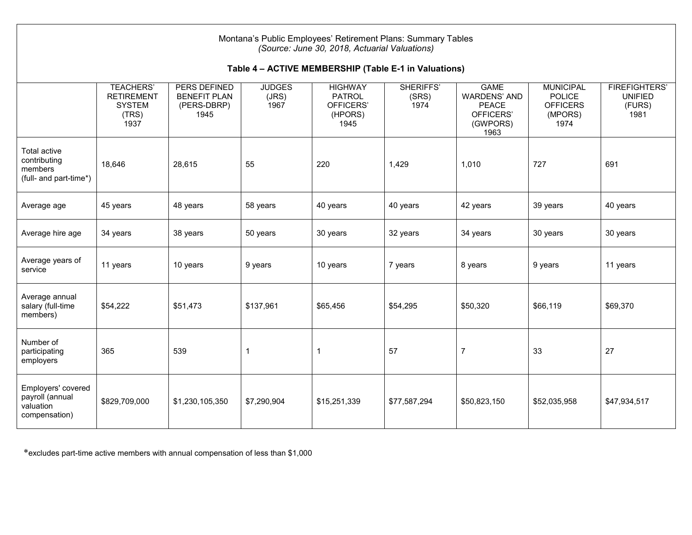| Montana's Public Employees' Retirement Plans: Summary Tables<br>(Source: June 30, 2018, Actuarial Valuations) |                                                                         |                                                            |                                |                                                          |                            |                                                                                     |                                                                         |                                                          |  |  |
|---------------------------------------------------------------------------------------------------------------|-------------------------------------------------------------------------|------------------------------------------------------------|--------------------------------|----------------------------------------------------------|----------------------------|-------------------------------------------------------------------------------------|-------------------------------------------------------------------------|----------------------------------------------------------|--|--|
| Table 4 - ACTIVE MEMBERSHIP (Table E-1 in Valuations)                                                         |                                                                         |                                                            |                                |                                                          |                            |                                                                                     |                                                                         |                                                          |  |  |
|                                                                                                               | <b>TEACHERS'</b><br><b>RETIREMENT</b><br><b>SYSTEM</b><br>(TRS)<br>1937 | PERS DEFINED<br><b>BENEFIT PLAN</b><br>(PERS-DBRP)<br>1945 | <b>JUDGES</b><br>(JRS)<br>1967 | <b>HIGHWAY</b><br>PATROL<br>OFFICERS'<br>(HPORS)<br>1945 | SHERIFFS'<br>(SRS)<br>1974 | <b>GAME</b><br><b>WARDENS' AND</b><br><b>PEACE</b><br>OFFICERS'<br>(GWPORS)<br>1963 | <b>MUNICIPAL</b><br><b>POLICE</b><br><b>OFFICERS</b><br>(MPORS)<br>1974 | <b>FIREFIGHTERS'</b><br><b>UNIFIED</b><br>(FURS)<br>1981 |  |  |
| <b>Total active</b><br>contributing<br>members<br>(full- and part-time*)                                      | 18,646                                                                  | 28,615                                                     | 55                             | 220                                                      | 1,429                      | 1,010                                                                               | 727                                                                     | 691                                                      |  |  |
| Average age                                                                                                   | 45 years                                                                | 48 years                                                   | 58 years                       | 40 years                                                 | 40 years                   | 42 years                                                                            | 39 years                                                                | 40 years                                                 |  |  |
| Average hire age                                                                                              | 34 years                                                                | 38 years                                                   | 50 years                       | 30 years                                                 | 32 years                   | 34 years                                                                            | 30 years                                                                | 30 years                                                 |  |  |
| Average years of<br>service                                                                                   | 11 years                                                                | 10 years                                                   | 9 years                        | 10 years                                                 | 7 years                    | 8 years                                                                             | 9 years                                                                 | 11 years                                                 |  |  |
| Average annual<br>salary (full-time<br>members)                                                               | \$54,222                                                                | \$51,473                                                   | \$137,961                      | \$65,456                                                 | \$54,295                   | \$50,320                                                                            | \$66,119                                                                | \$69,370                                                 |  |  |
| Number of<br>participating<br>employers                                                                       | 365                                                                     | 539                                                        | 1                              | $\mathbf 1$                                              | 57                         | $\overline{7}$                                                                      | 33                                                                      | 27                                                       |  |  |
| Employers' covered<br>payroll (annual<br>valuation<br>compensation)                                           | \$829,709,000                                                           | \$1,230,105,350                                            | \$7,290,904                    | \$15,251,339                                             | \$77,587,294               | \$50,823,150                                                                        | \$52,035,958                                                            | \$47,934,517                                             |  |  |

\*excludes part-time active members with annual compensation of less than \$1,000

 $\Gamma$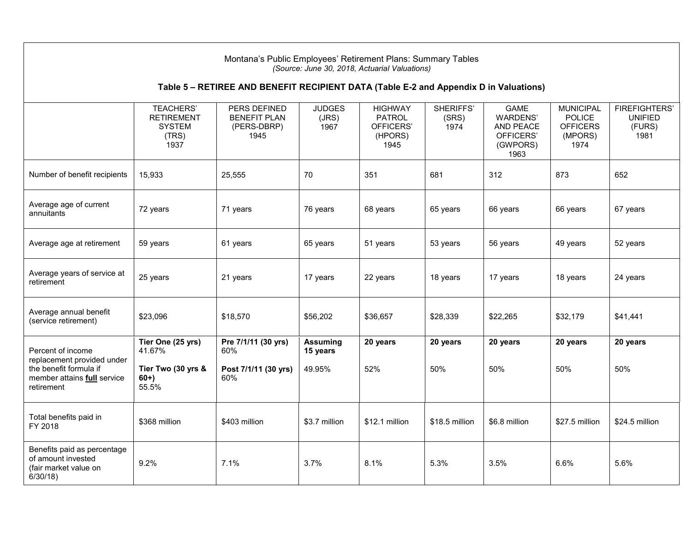| Montana's Public Employees' Retirement Plans: Summary Tables<br>(Source: June 30, 2018, Actuarial Valuations) |                                                                         |                                                                                       |                                |                                                                 |                            |                                                                              |                                                                         |                                                          |
|---------------------------------------------------------------------------------------------------------------|-------------------------------------------------------------------------|---------------------------------------------------------------------------------------|--------------------------------|-----------------------------------------------------------------|----------------------------|------------------------------------------------------------------------------|-------------------------------------------------------------------------|----------------------------------------------------------|
|                                                                                                               |                                                                         | Table 5 - RETIREE AND BENEFIT RECIPIENT DATA (Table E-2 and Appendix D in Valuations) |                                |                                                                 |                            |                                                                              |                                                                         |                                                          |
|                                                                                                               | <b>TEACHERS'</b><br><b>RETIREMENT</b><br><b>SYSTEM</b><br>(TRS)<br>1937 | PERS DEFINED<br><b>BENEFIT PLAN</b><br>(PERS-DBRP)<br>1945                            | <b>JUDGES</b><br>(JRS)<br>1967 | <b>HIGHWAY</b><br><b>PATROL</b><br>OFFICERS'<br>(HPORS)<br>1945 | SHERIFFS'<br>(SRS)<br>1974 | <b>GAME</b><br>WARDENS'<br><b>AND PEACE</b><br>OFFICERS'<br>(GWPORS)<br>1963 | <b>MUNICIPAL</b><br><b>POLICE</b><br><b>OFFICERS</b><br>(MPORS)<br>1974 | <b>FIREFIGHTERS'</b><br><b>UNIFIED</b><br>(FURS)<br>1981 |
| Number of benefit recipients                                                                                  | 15,933                                                                  | 25,555                                                                                | 70                             | 351                                                             | 681                        | 312                                                                          | 873                                                                     | 652                                                      |
| Average age of current<br>annuitants                                                                          | 72 years                                                                | 71 years                                                                              | 76 years                       | 68 years                                                        | 65 years                   | 66 years                                                                     | 66 years                                                                | 67 years                                                 |
| Average age at retirement                                                                                     | 59 years                                                                | 61 years                                                                              | 65 years                       | 51 years                                                        | 53 years                   | 56 years                                                                     | 49 years                                                                | 52 years                                                 |
| Average years of service at<br>retirement                                                                     | 25 years                                                                | 21 years                                                                              | 17 years                       | 22 years                                                        | 18 years                   | 17 years                                                                     | 18 years                                                                | 24 years                                                 |
| Average annual benefit<br>(service retirement)                                                                | \$23,096                                                                | \$18,570                                                                              | \$56,202                       | \$36,657                                                        | \$28,339                   | \$22,265                                                                     | \$32,179                                                                | \$41,441                                                 |
| Percent of income                                                                                             | Tier One (25 yrs)<br>41.67%                                             | Pre 7/1/11 (30 yrs)<br>60%                                                            | <b>Assuming</b><br>15 years    | 20 years                                                        | 20 years                   | 20 years                                                                     | 20 years                                                                | 20 years                                                 |
| replacement provided under<br>the benefit formula if<br>member attains full service<br>retirement             | Tier Two (30 yrs &<br>$60+$<br>55.5%                                    | Post 7/1/11 (30 yrs)<br>60%                                                           | 49.95%                         | 52%                                                             | 50%                        | 50%                                                                          | 50%                                                                     | 50%                                                      |
| Total benefits paid in<br>FY 2018                                                                             | \$368 million                                                           | \$403 million                                                                         | \$3.7 million                  | \$12.1 million                                                  | \$18.5 million             | \$6.8 million                                                                | \$27.5 million                                                          | \$24.5 million                                           |
| Benefits paid as percentage<br>of amount invested<br>(fair market value on<br>$6/30/18$ )                     | 9.2%                                                                    | 7.1%                                                                                  | 3.7%                           | 8.1%                                                            | 5.3%                       | 3.5%                                                                         | 6.6%                                                                    | 5.6%                                                     |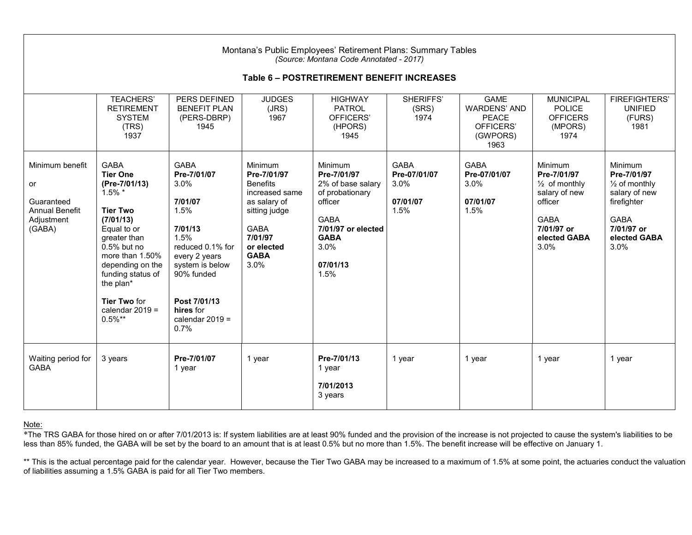|                                                                                      | Montana's Public Employees' Retirement Plans: Summary Tables<br>(Source: Montana Code Annotated - 2017)<br>Table 6 - POSTRETIREMENT BENEFIT INCREASES                                                                                                                          |                                                                                                                                                                                                          |                                                                                                                                                      |                                                                                                                                                           |                                                         |                                                                                     |                                                                                                                                            |                                                                                                                                         |
|--------------------------------------------------------------------------------------|--------------------------------------------------------------------------------------------------------------------------------------------------------------------------------------------------------------------------------------------------------------------------------|----------------------------------------------------------------------------------------------------------------------------------------------------------------------------------------------------------|------------------------------------------------------------------------------------------------------------------------------------------------------|-----------------------------------------------------------------------------------------------------------------------------------------------------------|---------------------------------------------------------|-------------------------------------------------------------------------------------|--------------------------------------------------------------------------------------------------------------------------------------------|-----------------------------------------------------------------------------------------------------------------------------------------|
|                                                                                      | <b>TEACHERS'</b><br><b>RETIREMENT</b><br><b>SYSTEM</b><br>(TRS)<br>1937                                                                                                                                                                                                        | PERS DEFINED<br><b>BENEFIT PLAN</b><br>(PERS-DBRP)<br>1945                                                                                                                                               | <b>JUDGES</b><br>(JRS)<br>1967                                                                                                                       | <b>HIGHWAY</b><br><b>PATROL</b><br>OFFICERS'<br>(HPORS)<br>1945                                                                                           | SHERIFFS'<br>(SRS)<br>1974                              | <b>GAMF</b><br><b>WARDENS' AND</b><br><b>PEACE</b><br>OFFICERS'<br>(GWPORS)<br>1963 | <b>MUNICIPAL</b><br><b>POLICE</b><br><b>OFFICERS</b><br>(MPORS)<br>1974                                                                    | <b>FIREFIGHTERS'</b><br><b>UNIFIED</b><br>(FURS)<br>1981                                                                                |
| Minimum benefit<br>or<br>Guaranteed<br><b>Annual Benefit</b><br>Adjustment<br>(GABA) | <b>GABA</b><br><b>Tier One</b><br>(Pre-7/01/13)<br>$1.5\%$ *<br><b>Tier Two</b><br>(7/01/13)<br>Equal to or<br>greater than<br>$0.5%$ but no<br>more than 1.50%<br>depending on the<br>funding status of<br>the plan*<br><b>Tier Two for</b><br>calendar $2019 =$<br>$0.5\%**$ | <b>GABA</b><br>Pre-7/01/07<br>3.0%<br>7/01/07<br>1.5%<br>7/01/13<br>1.5%<br>reduced 0.1% for<br>every 2 years<br>system is below<br>90% funded<br>Post 7/01/13<br>hires for<br>calendar $2019 =$<br>0.7% | Minimum<br>Pre-7/01/97<br><b>Benefits</b><br>increased same<br>as salary of<br>sitting judge<br>GABA<br>7/01/97<br>or elected<br><b>GABA</b><br>3.0% | Minimum<br>Pre-7/01/97<br>2% of base salary<br>of probationary<br>officer<br><b>GABA</b><br>7/01/97 or elected<br><b>GABA</b><br>3.0%<br>07/01/13<br>1.5% | <b>GABA</b><br>Pre-07/01/07<br>3.0%<br>07/01/07<br>1.5% | <b>GABA</b><br>Pre-07/01/07<br>3.0%<br>07/01/07<br>1.5%                             | <b>Minimum</b><br>Pre-7/01/97<br>$\frac{1}{2}$ of monthly<br>salary of new<br>officer<br><b>GABA</b><br>7/01/97 or<br>elected GABA<br>3.0% | Minimum<br>Pre-7/01/97<br>$\frac{1}{2}$ of monthly<br>salary of new<br>firefighter<br><b>GABA</b><br>7/01/97 or<br>elected GABA<br>3.0% |
| Waiting period for<br><b>GABA</b>                                                    | 3 years                                                                                                                                                                                                                                                                        | Pre-7/01/07<br>1 year                                                                                                                                                                                    | 1 year                                                                                                                                               | Pre-7/01/13<br>1 year<br>7/01/2013<br>3 years                                                                                                             | 1 year                                                  | 1 year                                                                              | 1 year                                                                                                                                     | 1 year                                                                                                                                  |

#### Note:

\*The TRS GABA for those hired on or after 7/01/2013 is: If system liabilities are at least 90% funded and the provision of the increase is not projected to cause the system's liabilities to be less than 85% funded, the GABA will be set by the board to an amount that is at least 0.5% but no more than 1.5%. The benefit increase will be effective on January 1.

\*\* This is the actual percentage paid for the calendar year. However, because the Tier Two GABA may be increased to a maximum of 1.5% at some point, the actuaries conduct the valuation of liabilities assuming a 1.5% GABA is paid for all Tier Two members.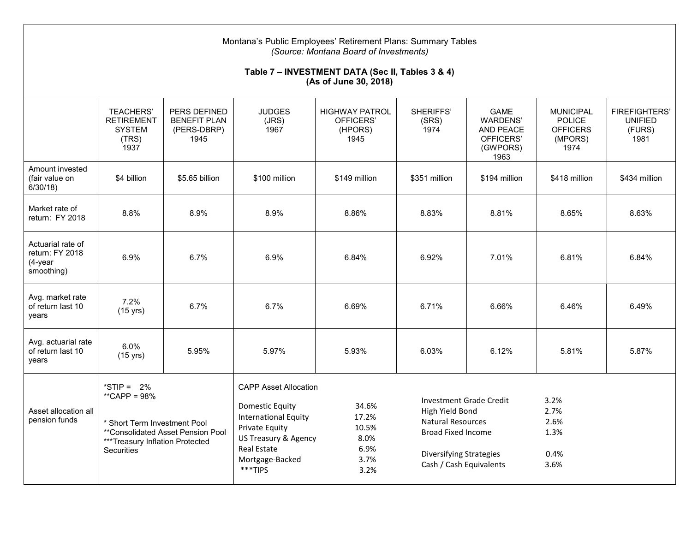| Montana's Public Employees' Retirement Plans: Summary Tables<br>(Source: Montana Board of Investments)<br>Table 7 - INVESTMENT DATA (Sec II, Tables 3 & 4)<br>(As of June 30, 2018) |                                                                                                                                                       |                                                            |                                                                                                                                                                                     |                                                         |                                                                                                                                                                  |                                                                                     |                                                                         |                                                          |
|-------------------------------------------------------------------------------------------------------------------------------------------------------------------------------------|-------------------------------------------------------------------------------------------------------------------------------------------------------|------------------------------------------------------------|-------------------------------------------------------------------------------------------------------------------------------------------------------------------------------------|---------------------------------------------------------|------------------------------------------------------------------------------------------------------------------------------------------------------------------|-------------------------------------------------------------------------------------|-------------------------------------------------------------------------|----------------------------------------------------------|
|                                                                                                                                                                                     | <b>TEACHERS'</b><br><b>RETIREMENT</b><br><b>SYSTEM</b><br>(TRS)<br>1937                                                                               | PERS DEFINED<br><b>BENEFIT PLAN</b><br>(PERS-DBRP)<br>1945 | <b>JUDGES</b><br>(JRS)<br>1967                                                                                                                                                      | <b>HIGHWAY PATROL</b><br>OFFICERS'<br>(HPORS)<br>1945   | SHERIFFS'<br>(SRS)<br>1974                                                                                                                                       | <b>GAME</b><br><b>WARDENS'</b><br><b>AND PEACE</b><br>OFFICERS'<br>(GWPORS)<br>1963 | <b>MUNICIPAL</b><br><b>POLICE</b><br><b>OFFICERS</b><br>(MPORS)<br>1974 | <b>FIREFIGHTERS'</b><br><b>UNIFIED</b><br>(FURS)<br>1981 |
| Amount invested<br>(fair value on<br>$6/30/18$ )                                                                                                                                    | \$4 billion                                                                                                                                           | \$5.65 billion                                             | \$100 million                                                                                                                                                                       | \$149 million                                           | \$351 million                                                                                                                                                    | \$194 million                                                                       | \$418 million                                                           | \$434 million                                            |
| Market rate of<br>return: FY 2018                                                                                                                                                   | 8.8%                                                                                                                                                  | 8.9%                                                       | 8.9%                                                                                                                                                                                | 8.86%                                                   | 8.83%                                                                                                                                                            | 8.81%                                                                               | 8.65%                                                                   | 8.63%                                                    |
| Actuarial rate of<br>return: FY 2018<br>$(4$ -year<br>smoothing)                                                                                                                    | 6.9%                                                                                                                                                  | 6.7%                                                       | 6.9%                                                                                                                                                                                | 6.84%                                                   | 6.92%                                                                                                                                                            | 7.01%                                                                               | 6.81%                                                                   | 6.84%                                                    |
| Avg. market rate<br>of return last 10<br>years                                                                                                                                      | 7.2%<br>$(15 \text{ yrs})$                                                                                                                            | 6.7%                                                       | 6.7%                                                                                                                                                                                | 6.69%                                                   | 6.71%                                                                                                                                                            | 6.66%                                                                               | 6.46%                                                                   | 6.49%                                                    |
| Avg. actuarial rate<br>of return last 10<br>vears                                                                                                                                   | 6.0%<br>$(15 \text{ yrs})$                                                                                                                            | 5.95%                                                      | 5.97%                                                                                                                                                                               | 5.93%                                                   | 6.03%                                                                                                                                                            | 6.12%                                                                               | 5.81%                                                                   | 5.87%                                                    |
| Asset allocation all<br>pension funds                                                                                                                                               | *STIP = $2\%$<br>**CAPP = $98%$<br>* Short Term Investment Pool<br>**Consolidated Asset Pension Pool<br>***Treasury Inflation Protected<br>Securities |                                                            | <b>CAPP Asset Allocation</b><br><b>Domestic Equity</b><br><b>International Equity</b><br>Private Equity<br>US Treasury & Agency<br><b>Real Estate</b><br>Mortgage-Backed<br>***TIPS | 34.6%<br>17.2%<br>10.5%<br>8.0%<br>6.9%<br>3.7%<br>3.2% | Investment Grade Credit<br>High Yield Bond<br><b>Natural Resources</b><br><b>Broad Fixed Income</b><br><b>Diversifying Strategies</b><br>Cash / Cash Equivalents |                                                                                     | 3.2%<br>2.7%<br>2.6%<br>1.3%<br>0.4%<br>3.6%                            |                                                          |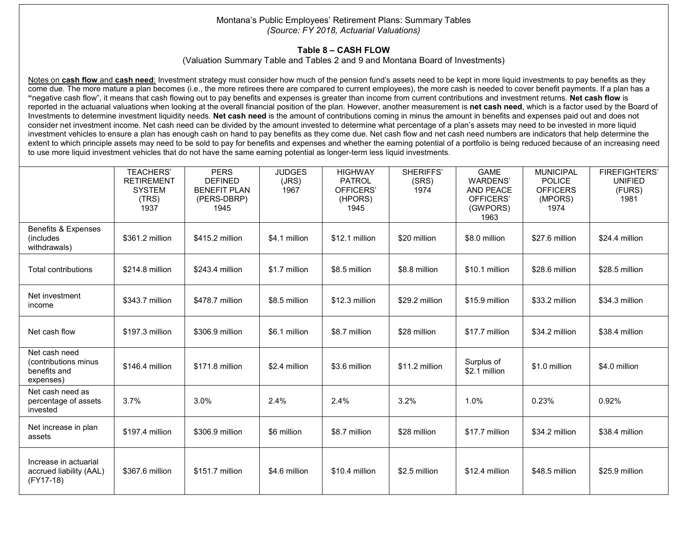#### Montana's Public Employees' Retirement Plans: Summary Tables *(Source: FY 2018, Actuarial Valuations)*

### **Table 8 – CASH FLOW**

(Valuation Summary Table and Tables 2 and 9 and Montana Board of Investments)

Notes on **cash flow** and **cash need**: Investment strategy must consider how much of the pension fund's assets need to be kept in more liquid investments to pay benefits as they come due. The more mature a plan becomes (i.e., the more retirees there are compared to current employees), the more cash is needed to cover benefit payments. If a plan has a **"**negative cash flow", it means that cash flowing out to pay benefits and expenses is greater than income from current contributions and investment returns. **Net cash flow** is reported in the actuarial valuations when looking at the overall financial position of the plan. However, another measurement is **net cash need**, which is a factor used by the Board of Investments to determine investment liquidity needs. **Net cash need** is the amount of contributions coming in minus the amount in benefits and expenses paid out and does not consider net investment income. Net cash need can be divided by the amount invested to determine what percentage of a plan's assets may need to be invested in more liquid investment vehicles to ensure a plan has enough cash on hand to pay benefits as they come due. Net cash flow and net cash need numbers are indicators that help determine the extent to which principle assets may need to be sold to pay for benefits and expenses and whether the earning potential of a portfolio is being reduced because of an increasing need to use more liquid investment vehicles that do not have the same earning potential as longer-term less liquid investments.

|                                                                    | <b>TEACHERS'</b><br><b>RETIREMENT</b><br><b>SYSTEM</b><br>(TRS)<br>1937 | <b>PERS</b><br><b>DEFINED</b><br><b>BENEFIT PLAN</b><br>(PERS-DBRP)<br>1945 | <b>JUDGES</b><br>(JRS)<br>1967 | <b>HIGHWAY</b><br><b>PATROL</b><br>OFFICERS'<br>(HPORS)<br>1945 | SHERIFFS'<br>(SRS)<br>1974 | <b>GAME</b><br><b>WARDENS'</b><br><b>AND PEACE</b><br>OFFICERS'<br>(GWPORS)<br>1963 | <b>MUNICIPAL</b><br><b>POLICE</b><br><b>OFFICERS</b><br>(MPORS)<br>1974 | <b>FIREFIGHTERS'</b><br><b>UNIFIED</b><br>(FURS)<br>1981 |
|--------------------------------------------------------------------|-------------------------------------------------------------------------|-----------------------------------------------------------------------------|--------------------------------|-----------------------------------------------------------------|----------------------------|-------------------------------------------------------------------------------------|-------------------------------------------------------------------------|----------------------------------------------------------|
| Benefits & Expenses<br>(includes)<br>withdrawals)                  | \$361.2 million                                                         | \$415.2 million                                                             | \$4.1 million                  | \$12.1 million                                                  | \$20 million               | \$8.0 million                                                                       | \$27.6 million                                                          | \$24.4 million                                           |
| <b>Total contributions</b>                                         | \$214.8 million                                                         | \$243.4 million                                                             | \$1.7 million                  | \$8.5 million                                                   | \$8.8 million              | \$10.1 million                                                                      | \$28.6 million                                                          | \$28.5 million                                           |
| Net investment<br>income                                           | \$343.7 million                                                         | \$478.7 million                                                             | \$8.5 million                  | \$12.3 million                                                  | \$29.2 million             | \$15.9 million                                                                      | \$33.2 million                                                          | \$34.3 million                                           |
| Net cash flow                                                      | \$197.3 million                                                         | \$306.9 million                                                             | \$6.1 million                  | \$8.7 million                                                   | \$28 million               | \$17.7 million                                                                      | \$34.2 million                                                          | \$38.4 million                                           |
| Net cash need<br>(contributions minus<br>benefits and<br>expenses) | \$146.4 million                                                         | \$171.8 million                                                             | \$2.4 million                  | \$3.6 million                                                   | \$11.2 million             | Surplus of<br>\$2.1 million                                                         | \$1.0 million                                                           | \$4.0 million                                            |
| Net cash need as<br>percentage of assets<br>invested               | 3.7%                                                                    | 3.0%                                                                        | 2.4%                           | 2.4%                                                            | 3.2%                       | 1.0%                                                                                | 0.23%                                                                   | 0.92%                                                    |
| Net increase in plan<br>assets                                     | \$197.4 million                                                         | \$306.9 million                                                             | \$6 million                    | \$8.7 million                                                   | \$28 million               | \$17.7 million                                                                      | \$34.2 million                                                          | \$38.4 million                                           |
| Increase in actuarial<br>accrued liability (AAL)<br>$(FY17-18)$    | \$367.6 million                                                         | \$151.7 million                                                             | \$4.6 million                  | \$10.4 million                                                  | \$2.5 million              | \$12.4 million                                                                      | \$48.5 million                                                          | \$25.9 million                                           |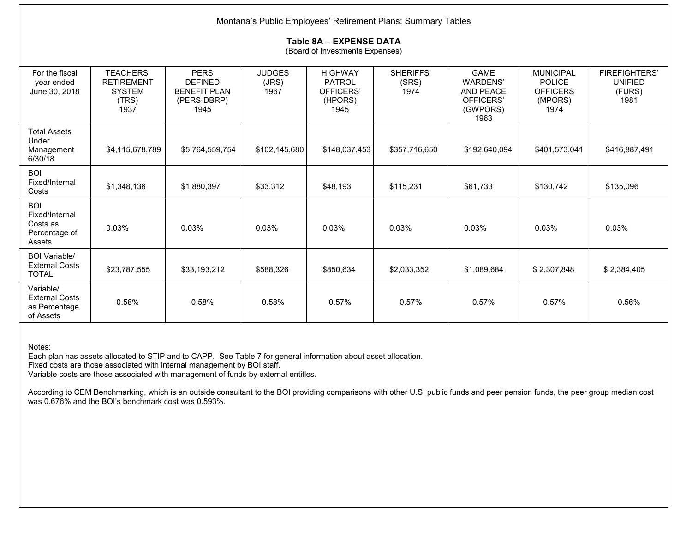| Montana's Public Employees' Retirement Plans: Summary Tables        |                                                                         |                                                                             |                                |                                                                 |                            |                                                                                     |                                                                         |                                                          |
|---------------------------------------------------------------------|-------------------------------------------------------------------------|-----------------------------------------------------------------------------|--------------------------------|-----------------------------------------------------------------|----------------------------|-------------------------------------------------------------------------------------|-------------------------------------------------------------------------|----------------------------------------------------------|
|                                                                     | Table 8A - EXPENSE DATA<br>(Board of Investments Expenses)              |                                                                             |                                |                                                                 |                            |                                                                                     |                                                                         |                                                          |
| For the fiscal<br>year ended<br>June 30, 2018                       | <b>TEACHERS'</b><br><b>RETIREMENT</b><br><b>SYSTEM</b><br>(TRS)<br>1937 | <b>PERS</b><br><b>DEFINED</b><br><b>BENEFIT PLAN</b><br>(PERS-DBRP)<br>1945 | <b>JUDGES</b><br>(JRS)<br>1967 | <b>HIGHWAY</b><br><b>PATROL</b><br>OFFICERS'<br>(HPORS)<br>1945 | SHERIFFS'<br>(SRS)<br>1974 | <b>GAME</b><br><b>WARDENS'</b><br><b>AND PEACE</b><br>OFFICERS'<br>(GWPORS)<br>1963 | <b>MUNICIPAL</b><br><b>POLICE</b><br><b>OFFICERS</b><br>(MPORS)<br>1974 | <b>FIREFIGHTERS'</b><br><b>UNIFIED</b><br>(FURS)<br>1981 |
| <b>Total Assets</b><br>Under<br>Management<br>6/30/18               | \$4,115,678,789                                                         | \$5,764,559,754                                                             | \$102,145,680                  | \$148,037,453                                                   | \$357,716,650              | \$192,640,094                                                                       | \$401,573,041                                                           | \$416,887,491                                            |
| <b>BOI</b><br>Fixed/Internal<br>Costs                               | \$1,348,136                                                             | \$1,880,397                                                                 | \$33,312                       | \$48,193                                                        | \$115,231                  | \$61,733                                                                            | \$130,742                                                               | \$135,096                                                |
| <b>BOI</b><br>Fixed/Internal<br>Costs as<br>Percentage of<br>Assets | 0.03%                                                                   | 0.03%                                                                       | 0.03%                          | 0.03%                                                           | 0.03%                      | 0.03%                                                                               | 0.03%                                                                   | 0.03%                                                    |
| <b>BOI Variable/</b><br><b>External Costs</b><br><b>TOTAL</b>       | \$23,787,555                                                            | \$33,193,212                                                                | \$588,326                      | \$850,634                                                       | \$2,033,352                | \$1,089,684                                                                         | \$2,307,848                                                             | \$2,384,405                                              |
| Variable/<br><b>External Costs</b><br>as Percentage<br>of Assets    | 0.58%                                                                   | 0.58%                                                                       | 0.58%                          | 0.57%                                                           | 0.57%                      | 0.57%                                                                               | 0.57%                                                                   | 0.56%                                                    |

Notes:

Each plan has assets allocated to STIP and to CAPP. See Table 7 for general information about asset allocation.

Fixed costs are those associated with internal management by BOI staff.

Variable costs are those associated with management of funds by external entitles.

According to CEM Benchmarking, which is an outside consultant to the BOI providing comparisons with other U.S. public funds and peer pension funds, the peer group median cost was 0.676% and the BOI's benchmark cost was 0.593%.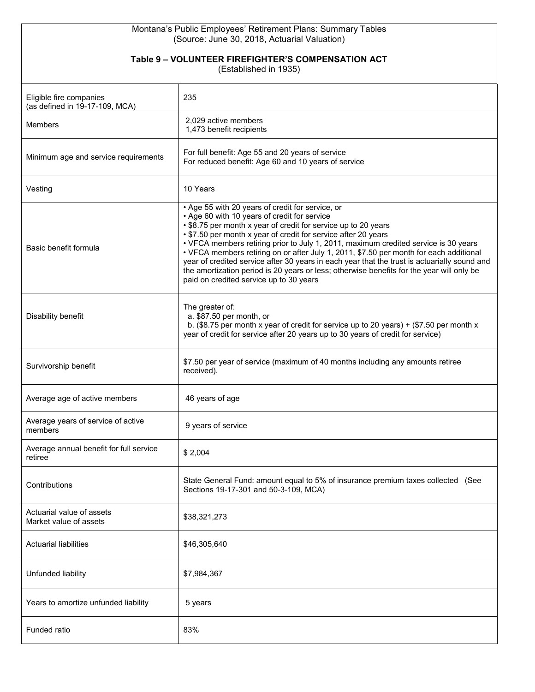#### Montana's Public Employees' Retirement Plans: Summary Tables (Source: June 30, 2018, Actuarial Valuation)

#### **Table 9 – VOLUNTEER FIREFIGHTER'S COMPENSATION ACT**

(Established in 1935)

| Eligible fire companies<br>(as defined in 19-17-109, MCA) | 235                                                                                                                                                                                                                                                                                                                                                                                                                                                                                                                                                                                                                                                           |
|-----------------------------------------------------------|---------------------------------------------------------------------------------------------------------------------------------------------------------------------------------------------------------------------------------------------------------------------------------------------------------------------------------------------------------------------------------------------------------------------------------------------------------------------------------------------------------------------------------------------------------------------------------------------------------------------------------------------------------------|
| <b>Members</b>                                            | 2,029 active members<br>1,473 benefit recipients                                                                                                                                                                                                                                                                                                                                                                                                                                                                                                                                                                                                              |
| Minimum age and service requirements                      | For full benefit: Age 55 and 20 years of service<br>For reduced benefit: Age 60 and 10 years of service                                                                                                                                                                                                                                                                                                                                                                                                                                                                                                                                                       |
| Vesting                                                   | 10 Years                                                                                                                                                                                                                                                                                                                                                                                                                                                                                                                                                                                                                                                      |
| Basic benefit formula                                     | • Age 55 with 20 years of credit for service, or<br>• Age 60 with 10 years of credit for service<br>• \$8.75 per month x year of credit for service up to 20 years<br>• \$7.50 per month x year of credit for service after 20 years<br>• VFCA members retiring prior to July 1, 2011, maximum credited service is 30 years<br>• VFCA members retiring on or after July 1, 2011, \$7.50 per month for each additional<br>year of credited service after 30 years in each year that the trust is actuarially sound and<br>the amortization period is 20 years or less; otherwise benefits for the year will only be<br>paid on credited service up to 30 years |
| Disability benefit                                        | The greater of:<br>a. \$87.50 per month, or<br>b. (\$8.75 per month x year of credit for service up to 20 years) + (\$7.50 per month x<br>year of credit for service after 20 years up to 30 years of credit for service)                                                                                                                                                                                                                                                                                                                                                                                                                                     |
| Survivorship benefit                                      | \$7.50 per year of service (maximum of 40 months including any amounts retiree<br>received).                                                                                                                                                                                                                                                                                                                                                                                                                                                                                                                                                                  |
| Average age of active members                             | 46 years of age                                                                                                                                                                                                                                                                                                                                                                                                                                                                                                                                                                                                                                               |
| Average years of service of active<br>members             | 9 years of service                                                                                                                                                                                                                                                                                                                                                                                                                                                                                                                                                                                                                                            |
| Average annual benefit for full service<br>retiree        | \$2,004                                                                                                                                                                                                                                                                                                                                                                                                                                                                                                                                                                                                                                                       |
| Contributions                                             | State General Fund: amount equal to 5% of insurance premium taxes collected (See<br>Sections 19-17-301 and 50-3-109, MCA)                                                                                                                                                                                                                                                                                                                                                                                                                                                                                                                                     |
| Actuarial value of assets<br>Market value of assets       | \$38,321,273                                                                                                                                                                                                                                                                                                                                                                                                                                                                                                                                                                                                                                                  |
| <b>Actuarial liabilities</b>                              | \$46,305,640                                                                                                                                                                                                                                                                                                                                                                                                                                                                                                                                                                                                                                                  |
| Unfunded liability                                        | \$7,984,367                                                                                                                                                                                                                                                                                                                                                                                                                                                                                                                                                                                                                                                   |
| Years to amortize unfunded liability                      | 5 years                                                                                                                                                                                                                                                                                                                                                                                                                                                                                                                                                                                                                                                       |
| Funded ratio                                              | 83%                                                                                                                                                                                                                                                                                                                                                                                                                                                                                                                                                                                                                                                           |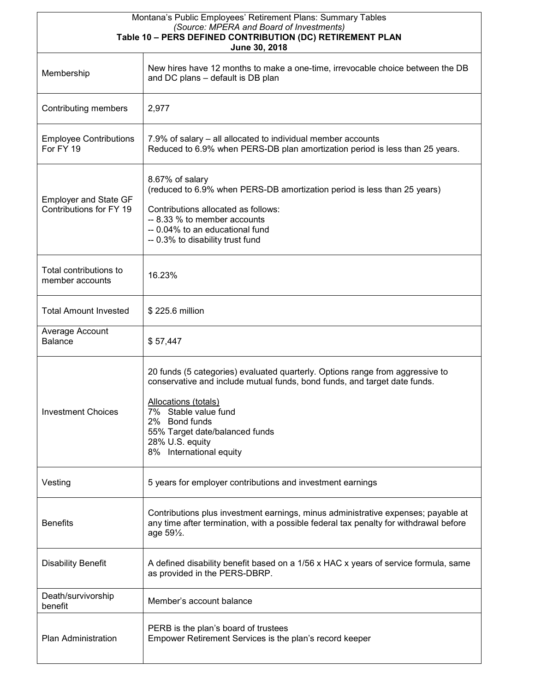| Montana's Public Employees' Retirement Plans: Summary Tables<br>(Source: MPERA and Board of Investments)<br>Table 10 - PERS DEFINED CONTRIBUTION (DC) RETIREMENT PLAN |                                                                                                                                                                                                                                                                                                                    |  |  |  |  |  |
|-----------------------------------------------------------------------------------------------------------------------------------------------------------------------|--------------------------------------------------------------------------------------------------------------------------------------------------------------------------------------------------------------------------------------------------------------------------------------------------------------------|--|--|--|--|--|
| Membership                                                                                                                                                            | June 30, 2018<br>New hires have 12 months to make a one-time, irrevocable choice between the DB<br>and DC plans - default is DB plan                                                                                                                                                                               |  |  |  |  |  |
| Contributing members                                                                                                                                                  | 2,977                                                                                                                                                                                                                                                                                                              |  |  |  |  |  |
| <b>Employee Contributions</b><br>For FY 19                                                                                                                            | 7.9% of salary – all allocated to individual member accounts<br>Reduced to 6.9% when PERS-DB plan amortization period is less than 25 years.                                                                                                                                                                       |  |  |  |  |  |
| <b>Employer and State GF</b><br>Contributions for FY 19                                                                                                               | 8.67% of salary<br>(reduced to 6.9% when PERS-DB amortization period is less than 25 years)<br>Contributions allocated as follows:<br>-- 8.33 % to member accounts<br>-- 0.04% to an educational fund<br>-- 0.3% to disability trust fund                                                                          |  |  |  |  |  |
| Total contributions to<br>member accounts                                                                                                                             | 16.23%                                                                                                                                                                                                                                                                                                             |  |  |  |  |  |
| <b>Total Amount Invested</b>                                                                                                                                          | \$225.6 million                                                                                                                                                                                                                                                                                                    |  |  |  |  |  |
| Average Account<br><b>Balance</b>                                                                                                                                     | \$57,447                                                                                                                                                                                                                                                                                                           |  |  |  |  |  |
| <b>Investment Choices</b>                                                                                                                                             | 20 funds (5 categories) evaluated quarterly. Options range from aggressive to<br>conservative and include mutual funds, bond funds, and target date funds.<br><b>Allocations (totals)</b><br>7% Stable value fund<br>2% Bond funds<br>55% Target date/balanced funds<br>28% U.S. equity<br>8% International equity |  |  |  |  |  |
| Vesting                                                                                                                                                               | 5 years for employer contributions and investment earnings                                                                                                                                                                                                                                                         |  |  |  |  |  |
| <b>Benefits</b>                                                                                                                                                       | Contributions plus investment earnings, minus administrative expenses; payable at<br>any time after termination, with a possible federal tax penalty for withdrawal before<br>age 59 <sup>1</sup> / <sub>2</sub> .                                                                                                 |  |  |  |  |  |
| <b>Disability Benefit</b>                                                                                                                                             | A defined disability benefit based on a 1/56 x HAC x years of service formula, same<br>as provided in the PERS-DBRP.                                                                                                                                                                                               |  |  |  |  |  |
| Death/survivorship<br>benefit                                                                                                                                         | Member's account balance                                                                                                                                                                                                                                                                                           |  |  |  |  |  |
| Plan Administration                                                                                                                                                   | PERB is the plan's board of trustees<br>Empower Retirement Services is the plan's record keeper                                                                                                                                                                                                                    |  |  |  |  |  |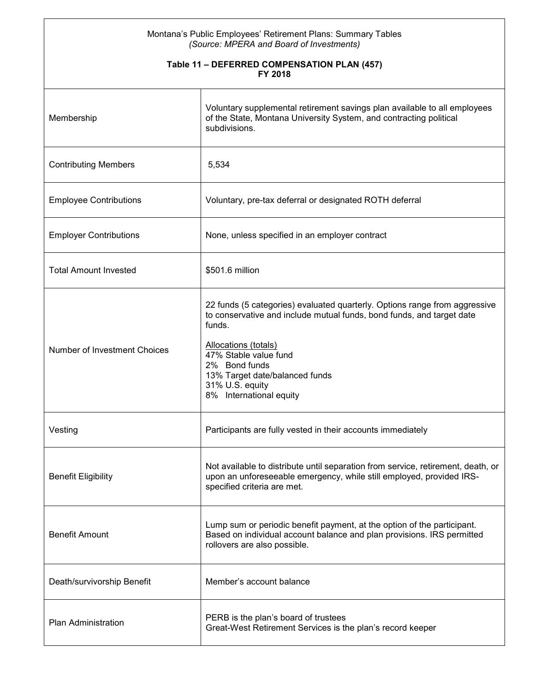#### Montana's Public Employees' Retirement Plans: Summary Tables *(Source: MPERA and Board of Investments)*

#### **Table 11 – DEFERRED COMPENSATION PLAN (457) FY 2018**

| Membership                    | Voluntary supplemental retirement savings plan available to all employees<br>of the State, Montana University System, and contracting political<br>subdivisions.                                                                                                                                                |
|-------------------------------|-----------------------------------------------------------------------------------------------------------------------------------------------------------------------------------------------------------------------------------------------------------------------------------------------------------------|
| <b>Contributing Members</b>   | 5,534                                                                                                                                                                                                                                                                                                           |
| <b>Employee Contributions</b> | Voluntary, pre-tax deferral or designated ROTH deferral                                                                                                                                                                                                                                                         |
| <b>Employer Contributions</b> | None, unless specified in an employer contract                                                                                                                                                                                                                                                                  |
| <b>Total Amount Invested</b>  | \$501.6 million                                                                                                                                                                                                                                                                                                 |
| Number of Investment Choices  | 22 funds (5 categories) evaluated quarterly. Options range from aggressive<br>to conservative and include mutual funds, bond funds, and target date<br>funds.<br>Allocations (totals)<br>47% Stable value fund<br>2% Bond funds<br>13% Target date/balanced funds<br>31% U.S. equity<br>8% International equity |
| Vesting                       | Participants are fully vested in their accounts immediately                                                                                                                                                                                                                                                     |
| <b>Benefit Eligibility</b>    | Not available to distribute until separation from service, retirement, death, or<br>upon an unforeseeable emergency, while still employed, provided IRS-<br>specified criteria are met.                                                                                                                         |
| <b>Benefit Amount</b>         | Lump sum or periodic benefit payment, at the option of the participant.<br>Based on individual account balance and plan provisions. IRS permitted<br>rollovers are also possible.                                                                                                                               |
| Death/survivorship Benefit    | Member's account balance                                                                                                                                                                                                                                                                                        |
| <b>Plan Administration</b>    | PERB is the plan's board of trustees<br>Great-West Retirement Services is the plan's record keeper                                                                                                                                                                                                              |